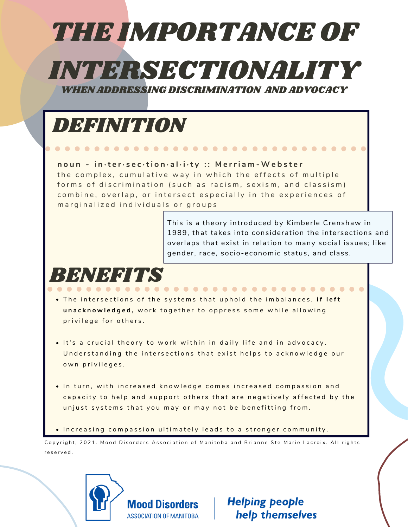# THE IMPORTANCE OF

INTERSECTIONALITY

WHEN ADDRESSING DISCRIMINATION AND ADVOCACY



 $\bullet$  Increasing compassion ultimately leads to a stronger community.

Copyright, 2021. Mood Disorders Association of Manitoba and Brianne Ste Marie Lacroix. All rights r e s e r v e d .



**Helping people** help themselves